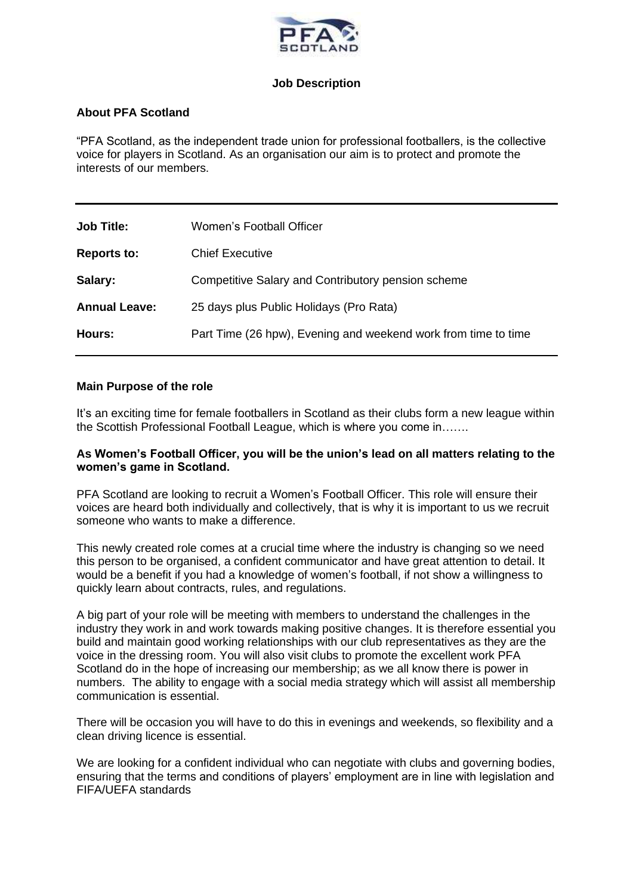

## **Job Description**

# **About PFA Scotland**

"PFA Scotland, as the independent trade union for professional footballers, is the collective voice for players in Scotland. As an organisation our aim is to protect and promote the interests of our members.

| <b>Job Title:</b>    | Women's Football Officer                                       |
|----------------------|----------------------------------------------------------------|
| <b>Reports to:</b>   | <b>Chief Executive</b>                                         |
| Salary:              | Competitive Salary and Contributory pension scheme             |
| <b>Annual Leave:</b> | 25 days plus Public Holidays (Pro Rata)                        |
| Hours:               | Part Time (26 hpw), Evening and weekend work from time to time |

#### **Main Purpose of the role**

It's an exciting time for female footballers in Scotland as their clubs form a new league within the Scottish Professional Football League, which is where you come in…….

#### **As Women's Football Officer, you will be the union's lead on all matters relating to the women's game in Scotland.**

PFA Scotland are looking to recruit a Women's Football Officer. This role will ensure their voices are heard both individually and collectively, that is why it is important to us we recruit someone who wants to make a difference.

This newly created role comes at a crucial time where the industry is changing so we need this person to be organised, a confident communicator and have great attention to detail. It would be a benefit if you had a knowledge of women's football, if not show a willingness to quickly learn about contracts, rules, and regulations.

A big part of your role will be meeting with members to understand the challenges in the industry they work in and work towards making positive changes. It is therefore essential you build and maintain good working relationships with our club representatives as they are the voice in the dressing room. You will also visit clubs to promote the excellent work PFA Scotland do in the hope of increasing our membership; as we all know there is power in numbers. The ability to engage with a social media strategy which will assist all membership communication is essential.

There will be occasion you will have to do this in evenings and weekends, so flexibility and a clean driving licence is essential.

We are looking for a confident individual who can negotiate with clubs and governing bodies, ensuring that the terms and conditions of players' employment are in line with legislation and FIFA/UEFA standards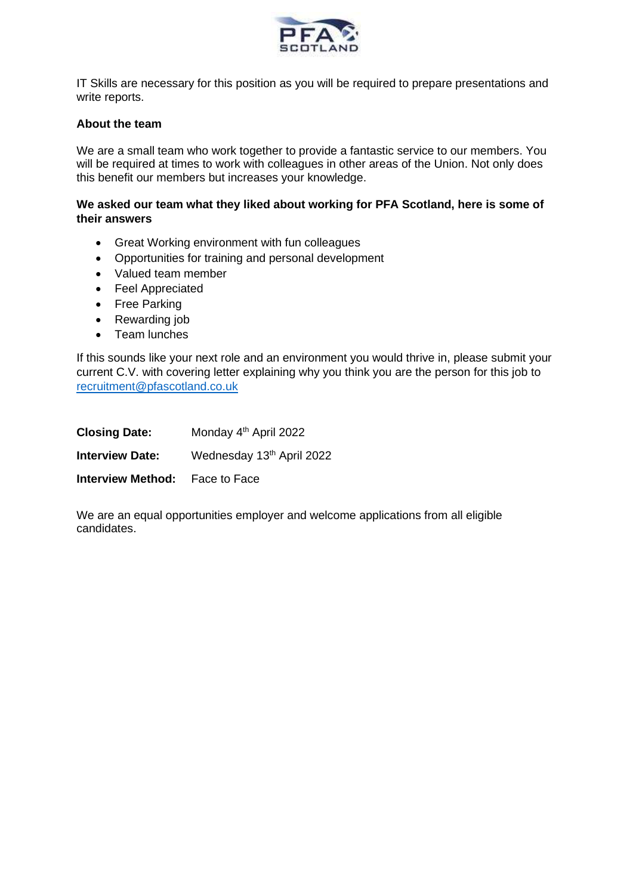

IT Skills are necessary for this position as you will be required to prepare presentations and write reports.

#### **About the team**

We are a small team who work together to provide a fantastic service to our members. You will be required at times to work with colleagues in other areas of the Union. Not only does this benefit our members but increases your knowledge.

## **We asked our team what they liked about working for PFA Scotland, here is some of their answers**

- Great Working environment with fun colleagues
- Opportunities for training and personal development
- Valued team member
- Feel Appreciated
- Free Parking
- Rewarding job
- Team lunches

If this sounds like your next role and an environment you would thrive in, please submit your current C.V. with covering letter explaining why you think you are the person for this job to [recruitment@pfascotland.co.uk](mailto:recruitment@pfascotland.co.uk)

| <b>Closing Date:</b>                  | Monday 4 <sup>th</sup> April 2022 |
|---------------------------------------|-----------------------------------|
| <b>Interview Date:</b>                | Wednesday 13th April 2022         |
| <b>Interview Method:</b> Face to Face |                                   |

We are an equal opportunities employer and welcome applications from all eligible candidates.